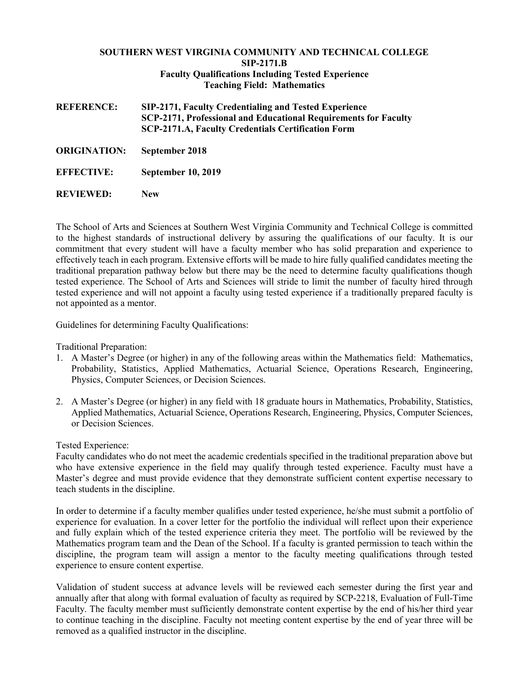## **SOUTHERN WEST VIRGINIA COMMUNITY AND TECHNICAL COLLEGE SIP-2171.B Faculty Qualifications Including Tested Experience Teaching Field: Mathematics**

**REFERENCE: SIP-2171, Faculty Credentialing and Tested Experience SCP-2171, Professional and Educational Requirements for Faculty SCP-2171.A, Faculty Credentials Certification Form**

- **ORIGINATION: September 2018**
- **EFFECTIVE: September 10, 2019**
- **REVIEWED: New**

The School of Arts and Sciences at Southern West Virginia Community and Technical College is committed to the highest standards of instructional delivery by assuring the qualifications of our faculty. It is our commitment that every student will have a faculty member who has solid preparation and experience to effectively teach in each program. Extensive efforts will be made to hire fully qualified candidates meeting the traditional preparation pathway below but there may be the need to determine faculty qualifications though tested experience. The School of Arts and Sciences will stride to limit the number of faculty hired through tested experience and will not appoint a faculty using tested experience if a traditionally prepared faculty is not appointed as a mentor.

Guidelines for determining Faculty Qualifications:

Traditional Preparation:

- 1. A Master's Degree (or higher) in any of the following areas within the Mathematics field: Mathematics, Probability, Statistics, Applied Mathematics, Actuarial Science, Operations Research, Engineering, Physics, Computer Sciences, or Decision Sciences.
- 2. A Master's Degree (or higher) in any field with 18 graduate hours in Mathematics, Probability, Statistics, Applied Mathematics, Actuarial Science, Operations Research, Engineering, Physics, Computer Sciences, or Decision Sciences.

Tested Experience:

Faculty candidates who do not meet the academic credentials specified in the traditional preparation above but who have extensive experience in the field may qualify through tested experience. Faculty must have a Master's degree and must provide evidence that they demonstrate sufficient content expertise necessary to teach students in the discipline.

In order to determine if a faculty member qualifies under tested experience, he/she must submit a portfolio of experience for evaluation. In a cover letter for the portfolio the individual will reflect upon their experience and fully explain which of the tested experience criteria they meet. The portfolio will be reviewed by the Mathematics program team and the Dean of the School. If a faculty is granted permission to teach within the discipline, the program team will assign a mentor to the faculty meeting qualifications through tested experience to ensure content expertise.

Validation of student success at advance levels will be reviewed each semester during the first year and annually after that along with formal evaluation of faculty as required by SCP-2218, Evaluation of Full-Time Faculty. The faculty member must sufficiently demonstrate content expertise by the end of his/her third year to continue teaching in the discipline. Faculty not meeting content expertise by the end of year three will be removed as a qualified instructor in the discipline.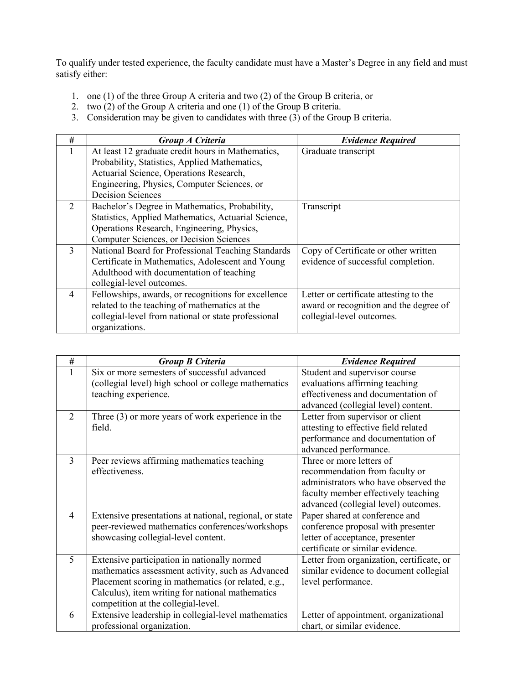To qualify under tested experience, the faculty candidate must have a Master's Degree in any field and must satisfy either:

- 1. one (1) of the three Group A criteria and two (2) of the Group B criteria, or
- 2. two (2) of the Group A criteria and one (1) of the Group B criteria.
- 3. Consideration may be given to candidates with three (3) of the Group B criteria.

| #              | Group A Criteria                                    | <b>Evidence Required</b>               |
|----------------|-----------------------------------------------------|----------------------------------------|
|                | At least 12 graduate credit hours in Mathematics,   | Graduate transcript                    |
|                | Probability, Statistics, Applied Mathematics,       |                                        |
|                | Actuarial Science, Operations Research,             |                                        |
|                | Engineering, Physics, Computer Sciences, or         |                                        |
|                | <b>Decision Sciences</b>                            |                                        |
| 2              | Bachelor's Degree in Mathematics, Probability,      | Transcript                             |
|                | Statistics, Applied Mathematics, Actuarial Science, |                                        |
|                | Operations Research, Engineering, Physics,          |                                        |
|                | Computer Sciences, or Decision Sciences             |                                        |
| $\mathcal{E}$  | National Board for Professional Teaching Standards  | Copy of Certificate or other written   |
|                | Certificate in Mathematics, Adolescent and Young    | evidence of successful completion.     |
|                | Adulthood with documentation of teaching            |                                        |
|                | collegial-level outcomes.                           |                                        |
| $\overline{4}$ | Fellowships, awards, or recognitions for excellence | Letter or certificate attesting to the |
|                | related to the teaching of mathematics at the       | award or recognition and the degree of |
|                | collegial-level from national or state professional | collegial-level outcomes.              |
|                | organizations.                                      |                                        |

| $\#$           | <b>Group B Criteria</b>                                 | <b>Evidence Required</b>                  |
|----------------|---------------------------------------------------------|-------------------------------------------|
| 1              | Six or more semesters of successful advanced            | Student and supervisor course             |
|                | (collegial level) high school or college mathematics    | evaluations affirming teaching            |
|                | teaching experience.                                    | effectiveness and documentation of        |
|                |                                                         | advanced (collegial level) content.       |
| $\mathcal{D}$  | Three $(3)$ or more years of work experience in the     | Letter from supervisor or client          |
|                | field.                                                  | attesting to effective field related      |
|                |                                                         | performance and documentation of          |
|                |                                                         | advanced performance.                     |
| 3              | Peer reviews affirming mathematics teaching             | Three or more letters of                  |
|                | effectiveness.                                          | recommendation from faculty or            |
|                |                                                         | administrators who have observed the      |
|                |                                                         | faculty member effectively teaching       |
|                |                                                         | advanced (collegial level) outcomes.      |
| $\overline{4}$ | Extensive presentations at national, regional, or state | Paper shared at conference and            |
|                | peer-reviewed mathematics conferences/workshops         | conference proposal with presenter        |
|                | showcasing collegial-level content.                     | letter of acceptance, presenter           |
|                |                                                         | certificate or similar evidence.          |
| 5              | Extensive participation in nationally normed            | Letter from organization, certificate, or |
|                | mathematics assessment activity, such as Advanced       | similar evidence to document collegial    |
|                | Placement scoring in mathematics (or related, e.g.,     | level performance.                        |
|                | Calculus), item writing for national mathematics        |                                           |
|                | competition at the collegial-level.                     |                                           |
| 6              | Extensive leadership in collegial-level mathematics     | Letter of appointment, organizational     |
|                | professional organization.                              | chart, or similar evidence.               |